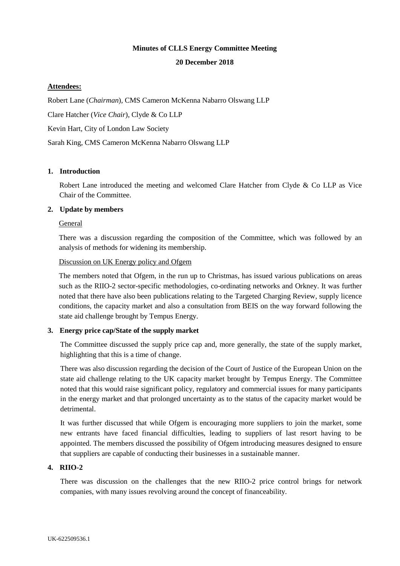# **Minutes of CLLS Energy Committee Meeting**

#### **20 December 2018**

### **Attendees:**

Robert Lane (*Chairman*), CMS Cameron McKenna Nabarro Olswang LLP Clare Hatcher (*Vice Chair*), Clyde & Co LLP Kevin Hart, City of London Law Society Sarah King, CMS Cameron McKenna Nabarro Olswang LLP

### **1. Introduction**

Robert Lane introduced the meeting and welcomed Clare Hatcher from Clyde & Co LLP as Vice Chair of the Committee.

### **2. Update by members**

### General

There was a discussion regarding the composition of the Committee, which was followed by an analysis of methods for widening its membership.

### Discussion on UK Energy policy and Ofgem

The members noted that Ofgem, in the run up to Christmas, has issued various publications on areas such as the RIIO-2 sector-specific methodologies, co-ordinating networks and Orkney. It was further noted that there have also been publications relating to the Targeted Charging Review, supply licence conditions, the capacity market and also a consultation from BEIS on the way forward following the state aid challenge brought by Tempus Energy.

#### **3. Energy price cap/State of the supply market**

The Committee discussed the supply price cap and, more generally, the state of the supply market, highlighting that this is a time of change.

There was also discussion regarding the decision of the Court of Justice of the European Union on the state aid challenge relating to the UK capacity market brought by Tempus Energy. The Committee noted that this would raise significant policy, regulatory and commercial issues for many participants in the energy market and that prolonged uncertainty as to the status of the capacity market would be detrimental.

It was further discussed that while Ofgem is encouraging more suppliers to join the market, some new entrants have faced financial difficulties, leading to suppliers of last resort having to be appointed. The members discussed the possibility of Ofgem introducing measures designed to ensure that suppliers are capable of conducting their businesses in a sustainable manner.

#### **4. RIIO-2**

There was discussion on the challenges that the new RIIO-2 price control brings for network companies, with many issues revolving around the concept of financeability.